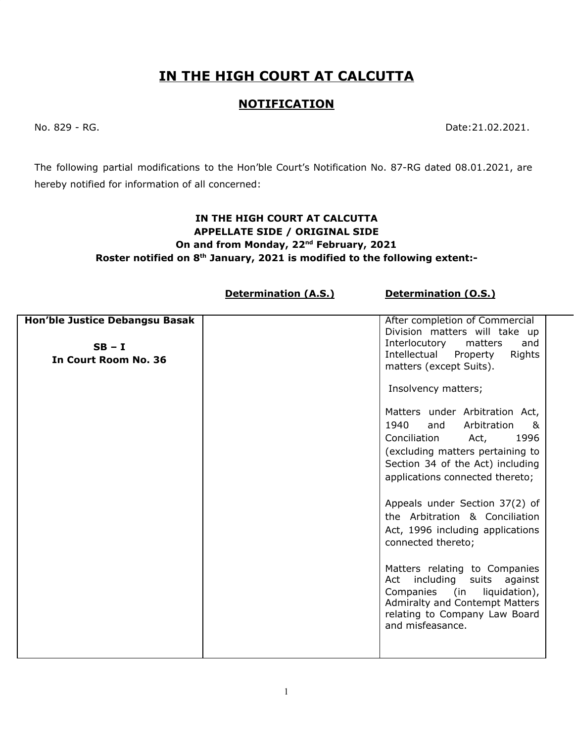## **IN THE HIGH COURT AT CALCUTTA**

## **NOTIFICATION**

No. 829 - RG. Date:21.02.2021.

The following partial modifications to the Hon'ble Court's Notification No. 87-RG dated 08.01.2021, are hereby notified for information of all concerned:

## **IN THE HIGH COURT AT CALCUTTA APPELLATE SIDE / ORIGINAL SIDE On and from Monday, 22 nd February, 2021 Roster notified on 8 th January, 2021 is modified to the following extent:-**

**Determination (A.S.) Determination (O.S.)**

| Hon'ble Justice Debangsu Basak | After completion of Commercial                               |
|--------------------------------|--------------------------------------------------------------|
|                                | Division matters will take up                                |
| $SB - I$                       | Interlocutory<br>matters<br>and                              |
| In Court Room No. 36           | Intellectual Property<br>Rights                              |
|                                | matters (except Suits).                                      |
|                                | Insolvency matters;                                          |
|                                | Matters under Arbitration Act,                               |
|                                | 1940<br>and<br>Arbitration<br>&                              |
|                                | Conciliation<br>1996<br>Act,                                 |
|                                | (excluding matters pertaining to                             |
|                                | Section 34 of the Act) including                             |
|                                | applications connected thereto;                              |
|                                |                                                              |
|                                | Appeals under Section 37(2) of                               |
|                                | the Arbitration & Conciliation                               |
|                                |                                                              |
|                                | Act, 1996 including applications                             |
|                                | connected thereto;                                           |
|                                |                                                              |
|                                | Matters relating to Companies<br>Act including suits against |
|                                | Companies (in<br>liquidation),                               |
|                                | Admiralty and Contempt Matters                               |
|                                | relating to Company Law Board                                |
|                                | and misfeasance.                                             |
|                                |                                                              |
|                                |                                                              |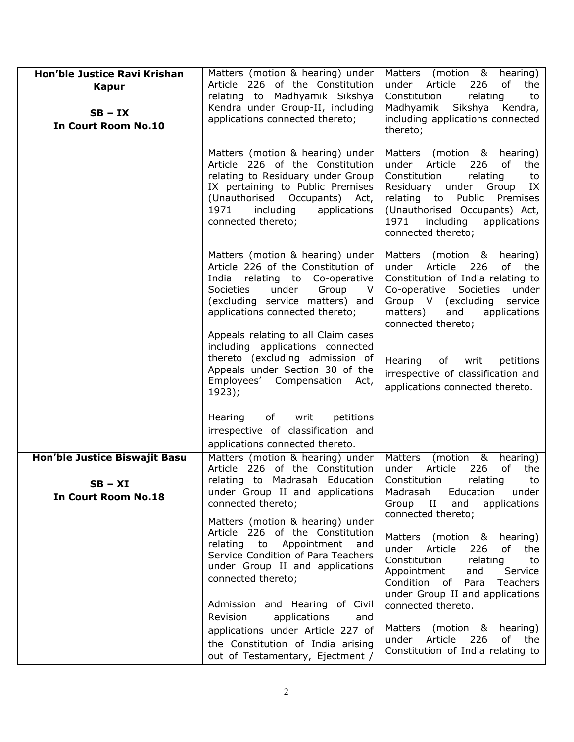| Hon'ble Justice Ravi Krishan                                             | Matters (motion & hearing) under                                                                                                                                                                                                         | Matters (motion & hearing)                                                                                                                                                                                                                                        |
|--------------------------------------------------------------------------|------------------------------------------------------------------------------------------------------------------------------------------------------------------------------------------------------------------------------------------|-------------------------------------------------------------------------------------------------------------------------------------------------------------------------------------------------------------------------------------------------------------------|
| <b>Kapur</b><br>$SB - IX$<br><b>In Court Room No.10</b>                  | Article 226 of the Constitution<br>relating to Madhyamik Sikshya<br>Kendra under Group-II, including<br>applications connected thereto;                                                                                                  | under Article<br>of<br>226<br>the<br>Constitution<br>relating<br>to<br>Madhyamik<br>Sikshya<br>Kendra,<br>including applications connected<br>thereto;                                                                                                            |
|                                                                          | Matters (motion & hearing) under<br>Article 226 of the Constitution<br>relating to Residuary under Group<br>IX pertaining to Public Premises<br>(Unauthorised Occupants) Act,<br>1971<br>including<br>applications<br>connected thereto; | Matters<br>(motion & hearing)<br>of<br>under<br>Article<br>226<br>the<br>Constitution<br>relating<br>to<br>Residuary under Group<br>IX<br>relating to Public Premises<br>(Unauthorised Occupants) Act,<br>1971<br>including<br>applications<br>connected thereto; |
|                                                                          | Matters (motion & hearing) under<br>Article 226 of the Constitution of<br>India relating to Co-operative<br><b>Societies</b><br>under<br>Group<br>V.<br>(excluding service matters) and<br>applications connected thereto;               | Matters (motion & hearing)<br>Article 226<br>of the<br>under<br>Constitution of India relating to<br>Co-operative Societies<br>under<br>Group V (excluding service<br>matters)<br>and<br>applications<br>connected thereto;                                       |
|                                                                          | Appeals relating to all Claim cases<br>including applications connected<br>thereto (excluding admission of<br>Appeals under Section 30 of the<br>Employees' Compensation Act,<br>1923);                                                  | Hearing<br>of<br>writ<br>petitions<br>irrespective of classification and<br>applications connected thereto.                                                                                                                                                       |
|                                                                          | of<br>writ<br>petitions<br>Hearing<br>irrespective of classification and<br>applications connected thereto.                                                                                                                              |                                                                                                                                                                                                                                                                   |
| Hon'ble Justice Biswajit Basu<br>$SB - XI$<br><b>In Court Room No.18</b> | Matters (motion & hearing) under<br>Article 226 of the Constitution<br>relating to Madrasah Education<br>under Group II and applications<br>connected thereto;                                                                           | (motion $\overline{8}$<br><b>Matters</b><br>hearing)<br>Article<br>226<br>of<br>under<br>the<br>Constitution<br>relating<br>to<br>Madrasah<br>Education<br>under<br>Group II<br>and<br>applications<br>connected thereto;                                         |
|                                                                          | Matters (motion & hearing) under<br>Article 226 of the Constitution<br>relating to Appointment<br>and<br>Service Condition of Para Teachers<br>under Group II and applications<br>connected thereto;                                     | Matters (motion & hearing)<br>under Article<br>of the<br>226<br>Constitution<br>relating<br>to<br>Appointment<br>Service<br>and<br>Condition of Para<br>Teachers<br>under Group II and applications                                                               |
|                                                                          | Admission and Hearing of Civil<br>Revision<br>applications<br>and<br>applications under Article 227 of<br>the Constitution of India arising<br>out of Testamentary, Ejectment /                                                          | connected thereto.<br>Matters (motion & hearing)<br>under Article 226 of the<br>Constitution of India relating to                                                                                                                                                 |